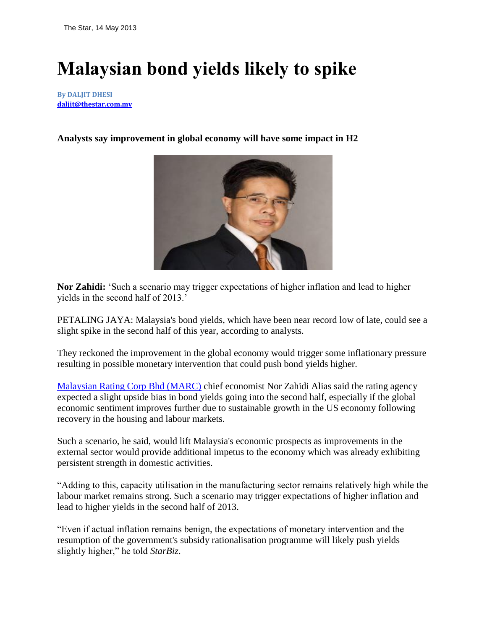## **Malaysian bond yields likely to spike**

**By DALJIT DHESI [daljit@thestar.com.my](mailto:daljit@thestar.com.my)**

## **Analysts say improvement in global economy will have some impact in H2**



**Nor Zahidi:** "Such a scenario may trigger expectations of higher inflation and lead to higher yields in the second half of 2013.'

PETALING JAYA: Malaysia's bond yields, which have been near record low of late, could see a slight spike in the second half of this year, according to analysts.

They reckoned the improvement in the global economy would trigger some inflationary pressure resulting in possible monetary intervention that could push bond yields higher.

[Malaysian Rating Corp Bhd \(MARC\)](http://archives.thestar.com.my/search/?q=Malaysian%20Rating%20Corp%20Bhd%20%28MARC%29) chief economist Nor Zahidi Alias said the rating agency expected a slight upside bias in bond yields going into the second half, especially if the global economic sentiment improves further due to sustainable growth in the US economy following recovery in the housing and labour markets.

Such a scenario, he said, would lift Malaysia's economic prospects as improvements in the external sector would provide additional impetus to the economy which was already exhibiting persistent strength in domestic activities.

"Adding to this, capacity utilisation in the manufacturing sector remains relatively high while the labour market remains strong. Such a scenario may trigger expectations of higher inflation and lead to higher yields in the second half of 2013.

"Even if actual inflation remains benign, the expectations of monetary intervention and the resumption of the government's subsidy rationalisation programme will likely push yields slightly higher," he told *StarBiz*.